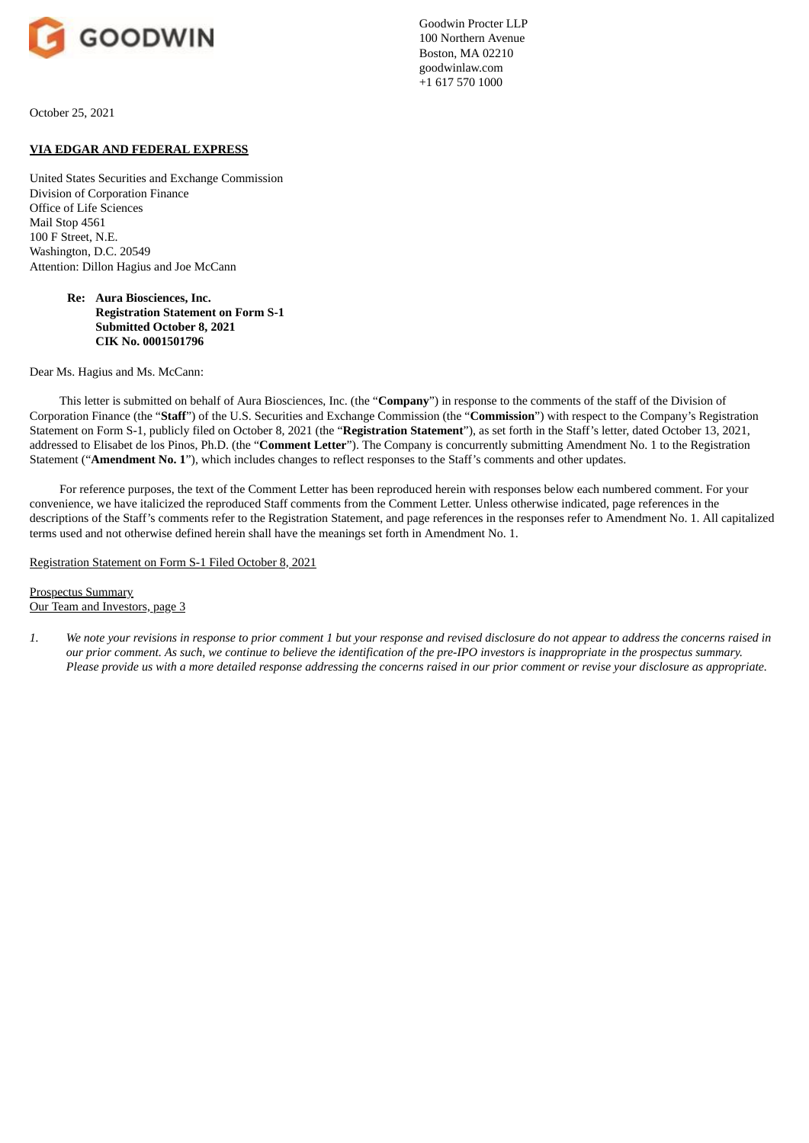

Goodwin Procter LLP 100 Northern Avenue Boston, MA 02210 goodwinlaw.com +1 617 570 1000

October 25, 2021

## **VIA EDGAR AND FEDERAL EXPRESS**

United States Securities and Exchange Commission Division of Corporation Finance Office of Life Sciences Mail Stop 4561 100 F Street, N.E. Washington, D.C. 20549 Attention: Dillon Hagius and Joe McCann

> **Re: Aura Biosciences, Inc. Registration Statement on Form S-1 Submitted October 8, 2021 CIK No. 0001501796**

Dear Ms. Hagius and Ms. McCann:

This letter is submitted on behalf of Aura Biosciences, Inc. (the "**Company**") in response to the comments of the staff of the Division of Corporation Finance (the "**Staff**") of the U.S. Securities and Exchange Commission (the "**Commission**") with respect to the Company's Registration Statement on Form S-1, publicly filed on October 8, 2021 (the "**Registration Statement**"), as set forth in the Staff's letter, dated October 13, 2021, addressed to Elisabet de los Pinos, Ph.D. (the "**Comment Letter**"). The Company is concurrently submitting Amendment No. 1 to the Registration Statement ("**Amendment No. 1**"), which includes changes to reflect responses to the Staff's comments and other updates.

For reference purposes, the text of the Comment Letter has been reproduced herein with responses below each numbered comment. For your convenience, we have italicized the reproduced Staff comments from the Comment Letter. Unless otherwise indicated, page references in the descriptions of the Staff's comments refer to the Registration Statement, and page references in the responses refer to Amendment No. 1. All capitalized terms used and not otherwise defined herein shall have the meanings set forth in Amendment No. 1.

Registration Statement on Form S-1 Filed October 8, 2021

Prospectus Summary Our Team and Investors, page 3

1. We note your revisions in response to prior comment 1 but your response and revised disclosure do not appear to address the concerns raised in our prior comment. As such, we continue to believe the identification of the pre-IPO investors is inappropriate in the prospectus summary. Please provide us with a more detailed response addressina the concerns raised in our prior comment or revise your disclosure as appropriate.